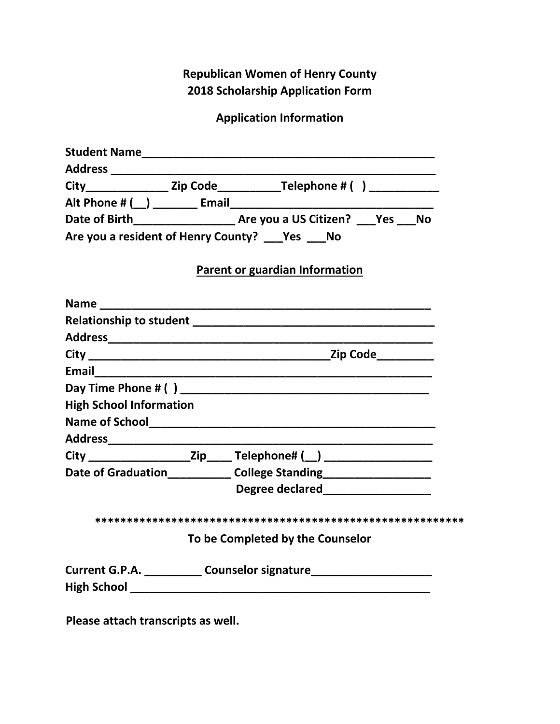**Republican Women of Henry County 2018 Scholarship Application Form** 

**Application Information** 

|                                            | City________________________Zip Code________________Telephone # () _____________ |
|--------------------------------------------|----------------------------------------------------------------------------------|
|                                            |                                                                                  |
|                                            | Date of Birth__________________________ Are you a US Citizen? ____Yes ____No     |
| Are you a resident of Henry County? Yes No |                                                                                  |
|                                            | Parent or guardian Information                                                   |
|                                            |                                                                                  |
|                                            |                                                                                  |
|                                            |                                                                                  |
|                                            |                                                                                  |
|                                            |                                                                                  |
|                                            |                                                                                  |
| <b>High School Information</b>             |                                                                                  |
|                                            |                                                                                  |
|                                            |                                                                                  |
|                                            |                                                                                  |
|                                            | Date of Graduation_______________ College Standing______________________________ |
|                                            | Degree declared____________________                                              |
|                                            |                                                                                  |
|                                            | To be Completed by the Counselor                                                 |
|                                            | Current G.P.A. ____________ Counselor signature_________________________________ |

**Please attach transcripts as well.**